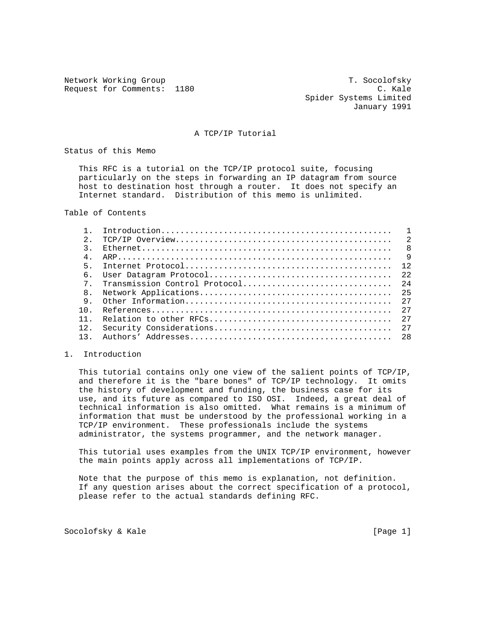Request for Comments: 1180 C. Kale

Network Working Group T. Socolofsky Spider Systems Limited January 1991

A TCP/IP Tutorial

Status of this Memo

 This RFC is a tutorial on the TCP/IP protocol suite, focusing particularly on the steps in forwarding an IP datagram from source host to destination host through a router. It does not specify an Internet standard. Distribution of this memo is unlimited.

Table of Contents

|                               | 9   |
|-------------------------------|-----|
|                               | 12  |
|                               |     |
| Transmission Control Protocol | 2.4 |
| 8 <sub>1</sub>                | 25  |
|                               |     |
|                               |     |
|                               |     |
|                               |     |
|                               |     |
|                               |     |

## 1. Introduction

 This tutorial contains only one view of the salient points of TCP/IP, and therefore it is the "bare bones" of TCP/IP technology. It omits the history of development and funding, the business case for its use, and its future as compared to ISO OSI. Indeed, a great deal of technical information is also omitted. What remains is a minimum of information that must be understood by the professional working in a TCP/IP environment. These professionals include the systems administrator, the systems programmer, and the network manager.

 This tutorial uses examples from the UNIX TCP/IP environment, however the main points apply across all implementations of TCP/IP.

 Note that the purpose of this memo is explanation, not definition. If any question arises about the correct specification of a protocol, please refer to the actual standards defining RFC.

Socolofsky & Kale [Page 1]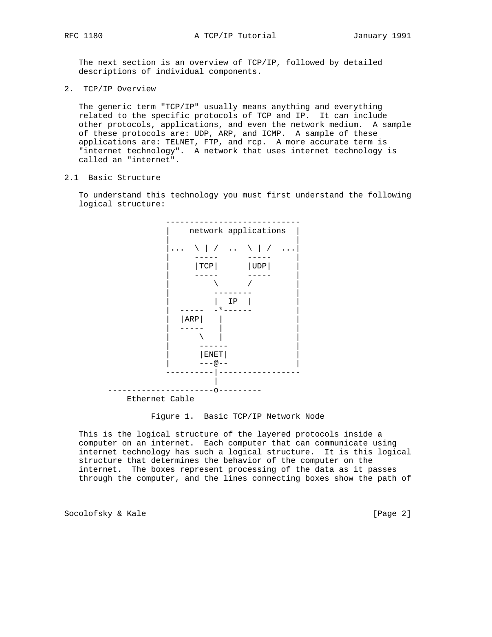The next section is an overview of TCP/IP, followed by detailed descriptions of individual components.

2. TCP/IP Overview

 The generic term "TCP/IP" usually means anything and everything related to the specific protocols of TCP and IP. It can include other protocols, applications, and even the network medium. A sample of these protocols are: UDP, ARP, and ICMP. A sample of these applications are: TELNET, FTP, and rcp. A more accurate term is "internet technology". A network that uses internet technology is called an "internet".

## 2.1 Basic Structure

 To understand this technology you must first understand the following logical structure:



Figure 1. Basic TCP/IP Network Node

 This is the logical structure of the layered protocols inside a computer on an internet. Each computer that can communicate using internet technology has such a logical structure. It is this logical structure that determines the behavior of the computer on the internet. The boxes represent processing of the data as it passes through the computer, and the lines connecting boxes show the path of

Socolofsky & Kale [Page 2]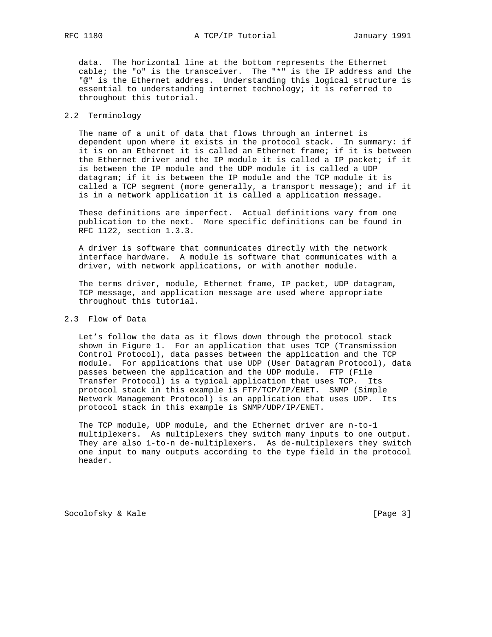data. The horizontal line at the bottom represents the Ethernet cable; the "o" is the transceiver. The "\*" is the IP address and the "@" is the Ethernet address. Understanding this logical structure is essential to understanding internet technology; it is referred to throughout this tutorial.

## 2.2 Terminology

 The name of a unit of data that flows through an internet is dependent upon where it exists in the protocol stack. In summary: if it is on an Ethernet it is called an Ethernet frame; if it is between the Ethernet driver and the IP module it is called a IP packet; if it is between the IP module and the UDP module it is called a UDP datagram; if it is between the IP module and the TCP module it is called a TCP segment (more generally, a transport message); and if it is in a network application it is called a application message.

 These definitions are imperfect. Actual definitions vary from one publication to the next. More specific definitions can be found in RFC 1122, section 1.3.3.

 A driver is software that communicates directly with the network interface hardware. A module is software that communicates with a driver, with network applications, or with another module.

 The terms driver, module, Ethernet frame, IP packet, UDP datagram, TCP message, and application message are used where appropriate throughout this tutorial.

## 2.3 Flow of Data

 Let's follow the data as it flows down through the protocol stack shown in Figure 1. For an application that uses TCP (Transmission Control Protocol), data passes between the application and the TCP module. For applications that use UDP (User Datagram Protocol), data passes between the application and the UDP module. FTP (File Transfer Protocol) is a typical application that uses TCP. Its protocol stack in this example is FTP/TCP/IP/ENET. SNMP (Simple Network Management Protocol) is an application that uses UDP. Its protocol stack in this example is SNMP/UDP/IP/ENET.

 The TCP module, UDP module, and the Ethernet driver are n-to-1 multiplexers. As multiplexers they switch many inputs to one output. They are also 1-to-n de-multiplexers. As de-multiplexers they switch one input to many outputs according to the type field in the protocol header.

Socolofsky & Kale [Page 3]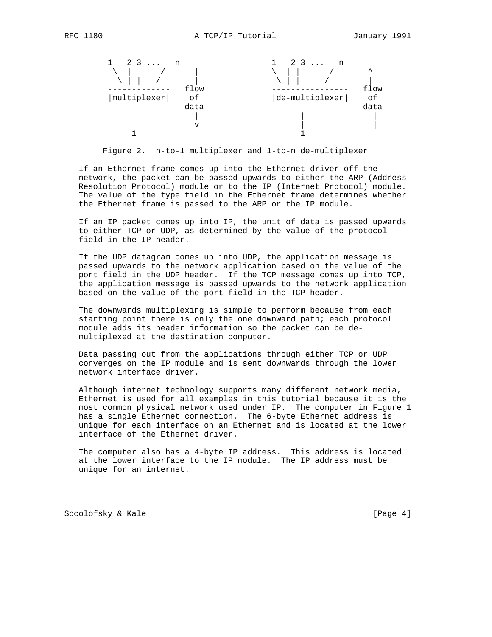



Figure 2. n-to-1 multiplexer and 1-to-n de-multiplexer

 If an Ethernet frame comes up into the Ethernet driver off the network, the packet can be passed upwards to either the ARP (Address Resolution Protocol) module or to the IP (Internet Protocol) module. The value of the type field in the Ethernet frame determines whether the Ethernet frame is passed to the ARP or the IP module.

 If an IP packet comes up into IP, the unit of data is passed upwards to either TCP or UDP, as determined by the value of the protocol field in the IP header.

 If the UDP datagram comes up into UDP, the application message is passed upwards to the network application based on the value of the port field in the UDP header. If the TCP message comes up into TCP, the application message is passed upwards to the network application based on the value of the port field in the TCP header.

 The downwards multiplexing is simple to perform because from each starting point there is only the one downward path; each protocol module adds its header information so the packet can be de multiplexed at the destination computer.

 Data passing out from the applications through either TCP or UDP converges on the IP module and is sent downwards through the lower network interface driver.

 Although internet technology supports many different network media, Ethernet is used for all examples in this tutorial because it is the most common physical network used under IP. The computer in Figure 1 has a single Ethernet connection. The 6-byte Ethernet address is unique for each interface on an Ethernet and is located at the lower interface of the Ethernet driver.

 The computer also has a 4-byte IP address. This address is located at the lower interface to the IP module. The IP address must be unique for an internet.

Socolofsky & Kale [Page 4]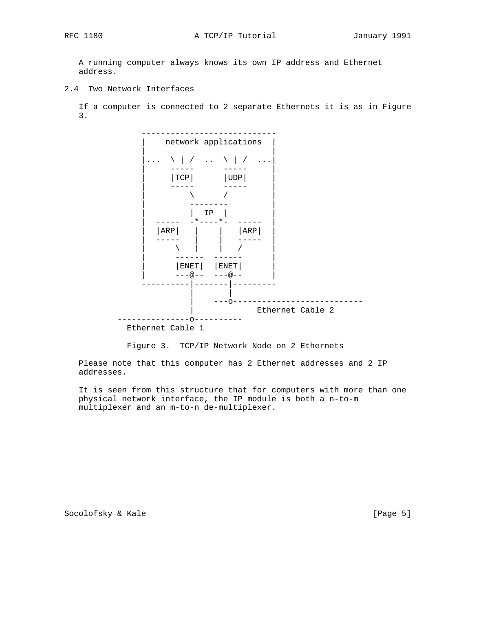A running computer always knows its own IP address and Ethernet address.

2.4 Two Network Interfaces

 If a computer is connected to 2 separate Ethernets it is as in Figure 3.



Figure 3. TCP/IP Network Node on 2 Ethernets

 Please note that this computer has 2 Ethernet addresses and 2 IP addresses.

 It is seen from this structure that for computers with more than one physical network interface, the IP module is both a n-to-m multiplexer and an m-to-n de-multiplexer.

Socolofsky & Kale [Page 5]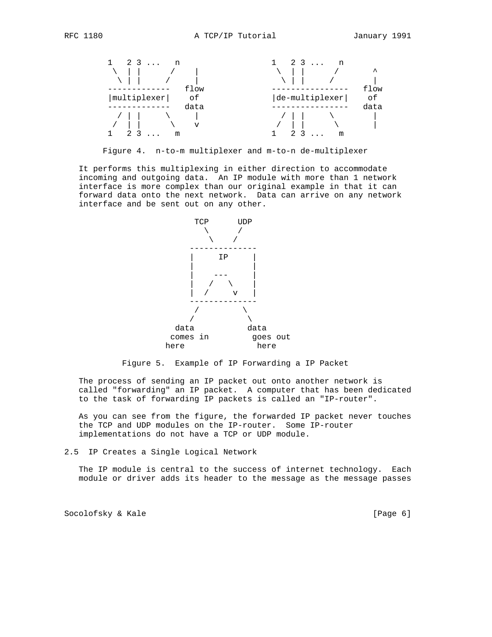

Figure 4. n-to-m multiplexer and m-to-n de-multiplexer

 It performs this multiplexing in either direction to accommodate incoming and outgoing data. An IP module with more than 1 network interface is more complex than our original example in that it can forward data onto the next network. Data can arrive on any network interface and be sent out on any other.



Figure 5. Example of IP Forwarding a IP Packet

 The process of sending an IP packet out onto another network is called "forwarding" an IP packet. A computer that has been dedicated to the task of forwarding IP packets is called an "IP-router".

 As you can see from the figure, the forwarded IP packet never touches the TCP and UDP modules on the IP-router. Some IP-router implementations do not have a TCP or UDP module.

2.5 IP Creates a Single Logical Network

 The IP module is central to the success of internet technology. Each module or driver adds its header to the message as the message passes

Socolofsky & Kale [Page 6]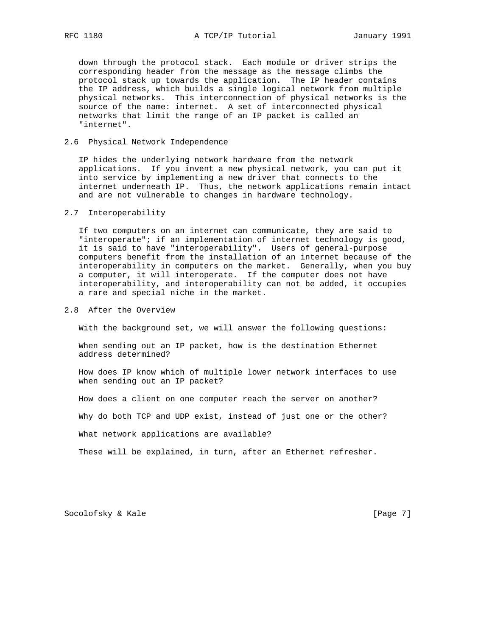down through the protocol stack. Each module or driver strips the corresponding header from the message as the message climbs the protocol stack up towards the application. The IP header contains the IP address, which builds a single logical network from multiple physical networks. This interconnection of physical networks is the source of the name: internet. A set of interconnected physical networks that limit the range of an IP packet is called an "internet".

### 2.6 Physical Network Independence

 IP hides the underlying network hardware from the network applications. If you invent a new physical network, you can put it into service by implementing a new driver that connects to the internet underneath IP. Thus, the network applications remain intact and are not vulnerable to changes in hardware technology.

### 2.7 Interoperability

 If two computers on an internet can communicate, they are said to "interoperate"; if an implementation of internet technology is good, it is said to have "interoperability". Users of general-purpose computers benefit from the installation of an internet because of the interoperability in computers on the market. Generally, when you buy a computer, it will interoperate. If the computer does not have interoperability, and interoperability can not be added, it occupies a rare and special niche in the market.

## 2.8 After the Overview

With the background set, we will answer the following questions:

 When sending out an IP packet, how is the destination Ethernet address determined?

 How does IP know which of multiple lower network interfaces to use when sending out an IP packet?

How does a client on one computer reach the server on another?

Why do both TCP and UDP exist, instead of just one or the other?

What network applications are available?

These will be explained, in turn, after an Ethernet refresher.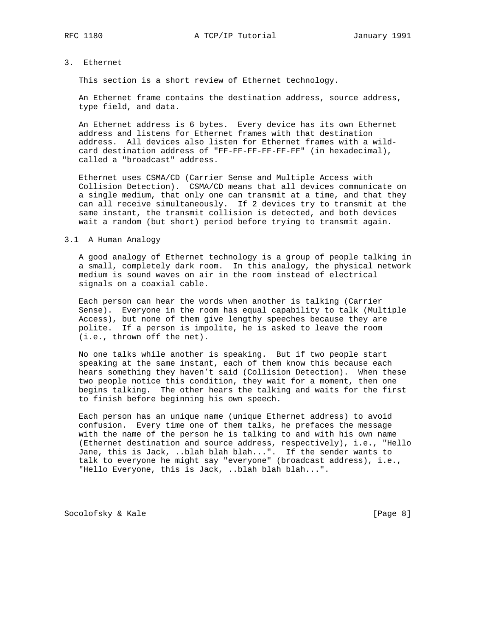## 3. Ethernet

This section is a short review of Ethernet technology.

 An Ethernet frame contains the destination address, source address, type field, and data.

 An Ethernet address is 6 bytes. Every device has its own Ethernet address and listens for Ethernet frames with that destination address. All devices also listen for Ethernet frames with a wild card destination address of "FF-FF-FF-FF-FF-FF" (in hexadecimal), called a "broadcast" address.

 Ethernet uses CSMA/CD (Carrier Sense and Multiple Access with Collision Detection). CSMA/CD means that all devices communicate on a single medium, that only one can transmit at a time, and that they can all receive simultaneously. If 2 devices try to transmit at the same instant, the transmit collision is detected, and both devices wait a random (but short) period before trying to transmit again.

#### 3.1 A Human Analogy

 A good analogy of Ethernet technology is a group of people talking in a small, completely dark room. In this analogy, the physical network medium is sound waves on air in the room instead of electrical signals on a coaxial cable.

 Each person can hear the words when another is talking (Carrier Sense). Everyone in the room has equal capability to talk (Multiple Access), but none of them give lengthy speeches because they are polite. If a person is impolite, he is asked to leave the room (i.e., thrown off the net).

 No one talks while another is speaking. But if two people start speaking at the same instant, each of them know this because each hears something they haven't said (Collision Detection). When these two people notice this condition, they wait for a moment, then one begins talking. The other hears the talking and waits for the first to finish before beginning his own speech.

 Each person has an unique name (unique Ethernet address) to avoid confusion. Every time one of them talks, he prefaces the message with the name of the person he is talking to and with his own name (Ethernet destination and source address, respectively), i.e., "Hello Jane, this is Jack, ..blah blah blah...". If the sender wants to talk to everyone he might say "everyone" (broadcast address), i.e., "Hello Everyone, this is Jack, ..blah blah blah...".

Socolofsky & Kale [Page 8]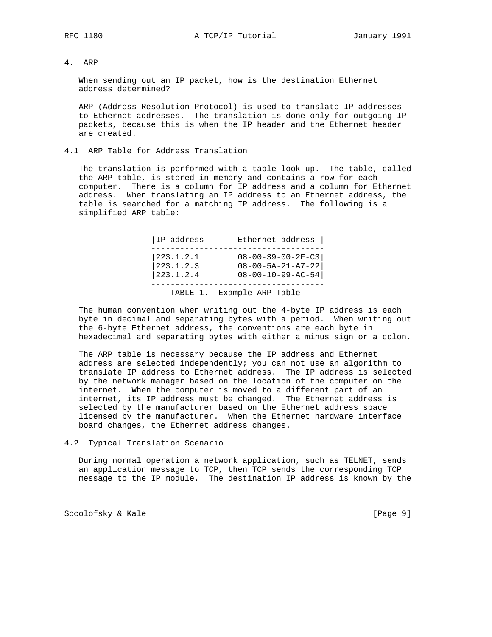## 4. ARP

 When sending out an IP packet, how is the destination Ethernet address determined?

 ARP (Address Resolution Protocol) is used to translate IP addresses to Ethernet addresses. The translation is done only for outgoing IP packets, because this is when the IP header and the Ethernet header are created.

## 4.1 ARP Table for Address Translation

 The translation is performed with a table look-up. The table, called the ARP table, is stored in memory and contains a row for each computer. There is a column for IP address and a column for Ethernet address. When translating an IP address to an Ethernet address, the table is searched for a matching IP address. The following is a simplified ARP table:

| IP address                           |
|--------------------------------------|
|                                      |
| 223.1.2.1<br>223.1.2.3<br>1223.1.2.4 |
| TABLE 1. Example ARP Table           |

 The human convention when writing out the 4-byte IP address is each byte in decimal and separating bytes with a period. When writing out the 6-byte Ethernet address, the conventions are each byte in hexadecimal and separating bytes with either a minus sign or a colon.

 The ARP table is necessary because the IP address and Ethernet address are selected independently; you can not use an algorithm to translate IP address to Ethernet address. The IP address is selected by the network manager based on the location of the computer on the internet. When the computer is moved to a different part of an internet, its IP address must be changed. The Ethernet address is selected by the manufacturer based on the Ethernet address space licensed by the manufacturer. When the Ethernet hardware interface board changes, the Ethernet address changes.

#### 4.2 Typical Translation Scenario

 During normal operation a network application, such as TELNET, sends an application message to TCP, then TCP sends the corresponding TCP message to the IP module. The destination IP address is known by the

Socolofsky & Kale [Page 9]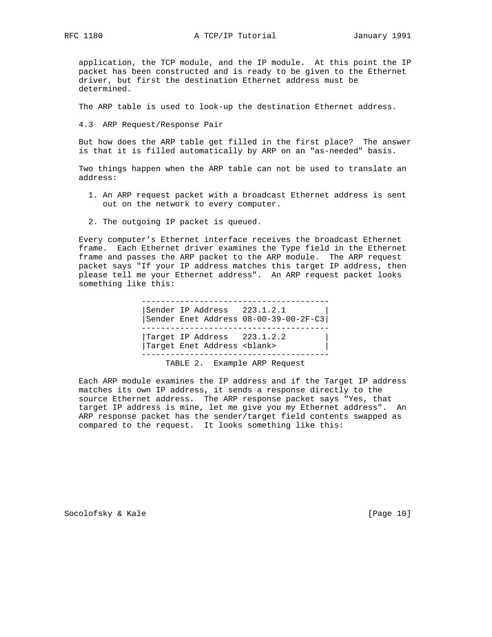application, the TCP module, and the IP module. At this point the IP packet has been constructed and is ready to be given to the Ethernet driver, but first the destination Ethernet address must be determined.

The ARP table is used to look-up the destination Ethernet address.

4.3 ARP Request/Response Pair

 But how does the ARP table get filled in the first place? The answer is that it is filled automatically by ARP on an "as-needed" basis.

 Two things happen when the ARP table can not be used to translate an address:

- 1. An ARP request packet with a broadcast Ethernet address is sent out on the network to every computer.
- 2. The outgoing IP packet is queued.

 Every computer's Ethernet interface receives the broadcast Ethernet frame. Each Ethernet driver examines the Type field in the Ethernet frame and passes the ARP packet to the ARP module. The ARP request packet says "If your IP address matches this target IP address, then please tell me your Ethernet address". An ARP request packet looks something like this:

 --------------------------------------- |Sender IP Address 223.1.2.1 | |Sender Enet Address 08-00-39-00-2F-C3| --------------------------------------- | Target IP Address 223.1.2.2 |Target Enet Address <blank> | --------------------------------------- TABLE 2. Example ARP Request

 Each ARP module examines the IP address and if the Target IP address matches its own IP address, it sends a response directly to the source Ethernet address. The ARP response packet says "Yes, that target IP address is mine, let me give you my Ethernet address". An ARP response packet has the sender/target field contents swapped as compared to the request. It looks something like this:

Socolofsky & Kale [Page 10]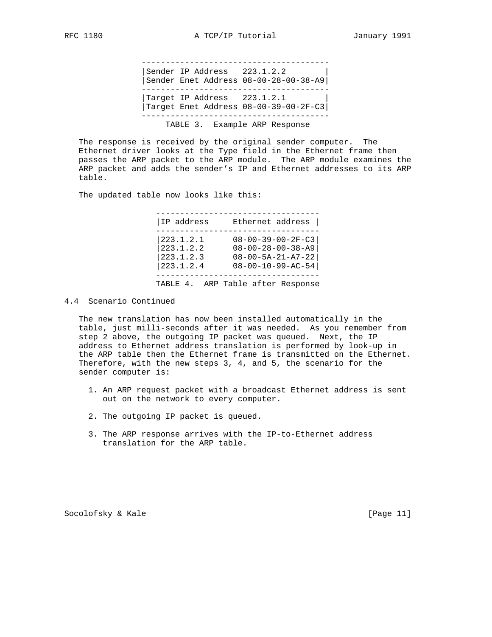--------------------------------------- |Sender IP Address 223.1.2.2 | |Sender Enet Address 08-00-28-00-38-A9| --------------------------------------- |Target IP Address 223.1.2.1 | |Target Enet Address 08-00-39-00-2F-C3| --------------------------------------- TABLE 3. Example ARP Response

 The response is received by the original sender computer. The Ethernet driver looks at the Type field in the Ethernet frame then passes the ARP packet to the ARP module. The ARP module examines the ARP packet and adds the sender's IP and Ethernet addresses to its ARP table.

The updated table now looks like this:

| IP address                                        | Ethernet address                                                                                                                 |
|---------------------------------------------------|----------------------------------------------------------------------------------------------------------------------------------|
| 1223.1.2.1<br>223.1.2.2<br>223.1.2.3<br>223.1.2.4 | $08 - 00 - 39 - 00 - 2F - C3$<br>$08 - 00 - 28 - 00 - 38 - A9$<br>$08 - 00 - 5A - 21 - A7 - 22$<br>$08 - 00 - 10 - 99 - AC - 54$ |
|                                                   | TABLE 4. ARP Table after Response                                                                                                |

#### 4.4 Scenario Continued

 The new translation has now been installed automatically in the table, just milli-seconds after it was needed. As you remember from step 2 above, the outgoing IP packet was queued. Next, the IP address to Ethernet address translation is performed by look-up in the ARP table then the Ethernet frame is transmitted on the Ethernet. Therefore, with the new steps 3, 4, and 5, the scenario for the sender computer is:

- 1. An ARP request packet with a broadcast Ethernet address is sent out on the network to every computer.
- 2. The outgoing IP packet is queued.
- 3. The ARP response arrives with the IP-to-Ethernet address translation for the ARP table.

Socolofsky & Kale [Page 11]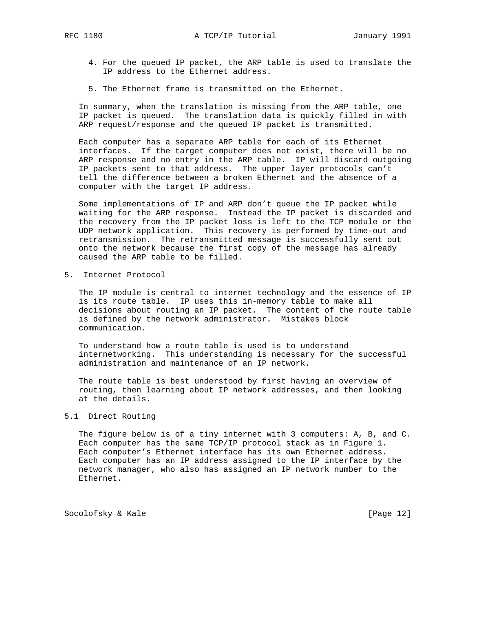- 4. For the queued IP packet, the ARP table is used to translate the IP address to the Ethernet address.
- 5. The Ethernet frame is transmitted on the Ethernet.

 In summary, when the translation is missing from the ARP table, one IP packet is queued. The translation data is quickly filled in with ARP request/response and the queued IP packet is transmitted.

 Each computer has a separate ARP table for each of its Ethernet interfaces. If the target computer does not exist, there will be no ARP response and no entry in the ARP table. IP will discard outgoing IP packets sent to that address. The upper layer protocols can't tell the difference between a broken Ethernet and the absence of a computer with the target IP address.

 Some implementations of IP and ARP don't queue the IP packet while waiting for the ARP response. Instead the IP packet is discarded and the recovery from the IP packet loss is left to the TCP module or the UDP network application. This recovery is performed by time-out and retransmission. The retransmitted message is successfully sent out onto the network because the first copy of the message has already caused the ARP table to be filled.

5. Internet Protocol

 The IP module is central to internet technology and the essence of IP is its route table. IP uses this in-memory table to make all decisions about routing an IP packet. The content of the route table is defined by the network administrator. Mistakes block communication.

 To understand how a route table is used is to understand internetworking. This understanding is necessary for the successful administration and maintenance of an IP network.

 The route table is best understood by first having an overview of routing, then learning about IP network addresses, and then looking at the details.

## 5.1 Direct Routing

 The figure below is of a tiny internet with 3 computers: A, B, and C. Each computer has the same TCP/IP protocol stack as in Figure 1. Each computer's Ethernet interface has its own Ethernet address. Each computer has an IP address assigned to the IP interface by the network manager, who also has assigned an IP network number to the Ethernet.

Socolofsky & Kale [Page 12]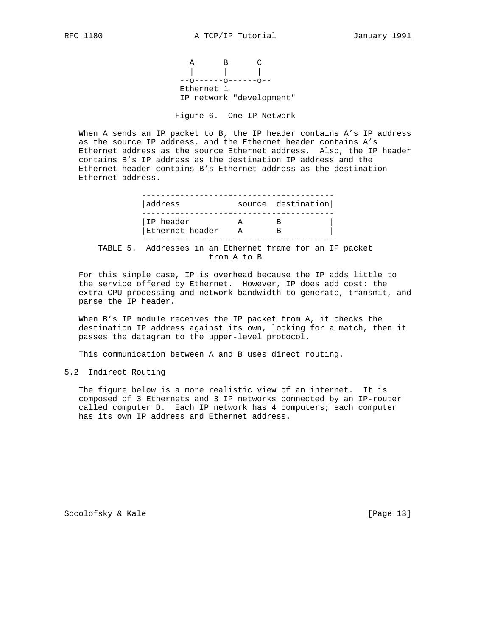A B C | | | --o------o------o-- Ethernet 1 IP network "development"

Figure 6. One IP Network

 When A sends an IP packet to B, the IP header contains A's IP address as the source IP address, and the Ethernet header contains A's Ethernet address as the source Ethernet address. Also, the IP header contains B's IP address as the destination IP address and the Ethernet header contains B's Ethernet address as the destination Ethernet address.

| address                       |        | source destination |
|-------------------------------|--------|--------------------|
| IIP header<br>Ethernet header | А<br>A |                    |

 TABLE 5. Addresses in an Ethernet frame for an IP packet from A to B

 For this simple case, IP is overhead because the IP adds little to the service offered by Ethernet. However, IP does add cost: the extra CPU processing and network bandwidth to generate, transmit, and parse the IP header.

When B's IP module receives the IP packet from A, it checks the destination IP address against its own, looking for a match, then it passes the datagram to the upper-level protocol.

This communication between A and B uses direct routing.

5.2 Indirect Routing

 The figure below is a more realistic view of an internet. It is composed of 3 Ethernets and 3 IP networks connected by an IP-router called computer D. Each IP network has 4 computers; each computer has its own IP address and Ethernet address.

Socolofsky & Kale [Page 13]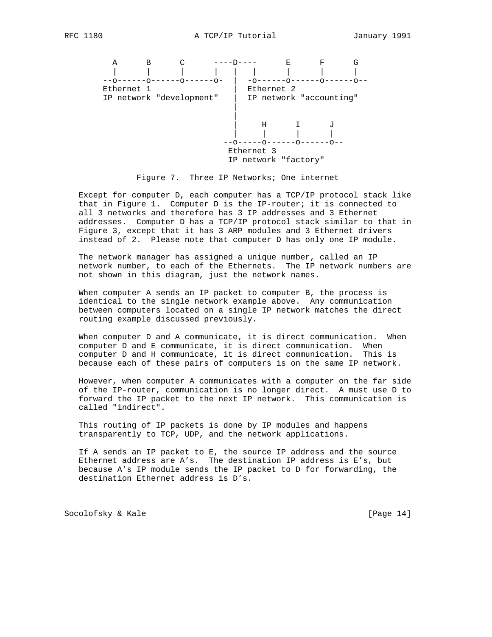

Figure 7. Three IP Networks; One internet

 Except for computer D, each computer has a TCP/IP protocol stack like that in Figure 1. Computer D is the IP-router; it is connected to all 3 networks and therefore has 3 IP addresses and 3 Ethernet addresses. Computer D has a TCP/IP protocol stack similar to that in Figure 3, except that it has 3 ARP modules and 3 Ethernet drivers instead of 2. Please note that computer D has only one IP module.

 The network manager has assigned a unique number, called an IP network number, to each of the Ethernets. The IP network numbers are not shown in this diagram, just the network names.

 When computer A sends an IP packet to computer B, the process is identical to the single network example above. Any communication between computers located on a single IP network matches the direct routing example discussed previously.

 When computer D and A communicate, it is direct communication. When computer D and E communicate, it is direct communication. When computer D and H communicate, it is direct communication. This is because each of these pairs of computers is on the same IP network.

 However, when computer A communicates with a computer on the far side of the IP-router, communication is no longer direct. A must use D to forward the IP packet to the next IP network. This communication is called "indirect".

 This routing of IP packets is done by IP modules and happens transparently to TCP, UDP, and the network applications.

 If A sends an IP packet to E, the source IP address and the source Ethernet address are A's. The destination IP address is E's, but because A's IP module sends the IP packet to D for forwarding, the destination Ethernet address is D's.

Socolofsky & Kale [Page 14]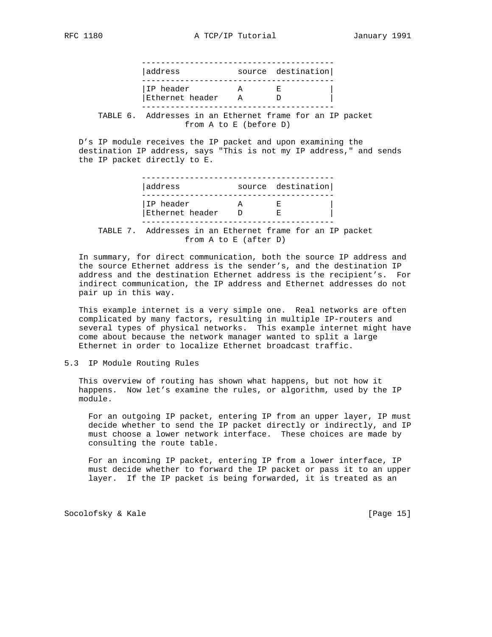| address                      |   | source destination |
|------------------------------|---|--------------------|
| IP header<br>Ethernet header | A |                    |

 TABLE 6. Addresses in an Ethernet frame for an IP packet from A to E (before D)

 D's IP module receives the IP packet and upon examining the destination IP address, says "This is not my IP address," and sends the IP packet directly to E.

| address                      | source destination |  |
|------------------------------|--------------------|--|
| IP header<br>Ethernet header | A<br>D             |  |
|                              |                    |  |

 TABLE 7. Addresses in an Ethernet frame for an IP packet from A to E (after D)

 In summary, for direct communication, both the source IP address and the source Ethernet address is the sender's, and the destination IP address and the destination Ethernet address is the recipient's. For indirect communication, the IP address and Ethernet addresses do not pair up in this way.

 This example internet is a very simple one. Real networks are often complicated by many factors, resulting in multiple IP-routers and several types of physical networks. This example internet might have come about because the network manager wanted to split a large Ethernet in order to localize Ethernet broadcast traffic.

5.3 IP Module Routing Rules

 This overview of routing has shown what happens, but not how it happens. Now let's examine the rules, or algorithm, used by the IP module.

 For an outgoing IP packet, entering IP from an upper layer, IP must decide whether to send the IP packet directly or indirectly, and IP must choose a lower network interface. These choices are made by consulting the route table.

 For an incoming IP packet, entering IP from a lower interface, IP must decide whether to forward the IP packet or pass it to an upper layer. If the IP packet is being forwarded, it is treated as an

Socolofsky & Kale [Page 15]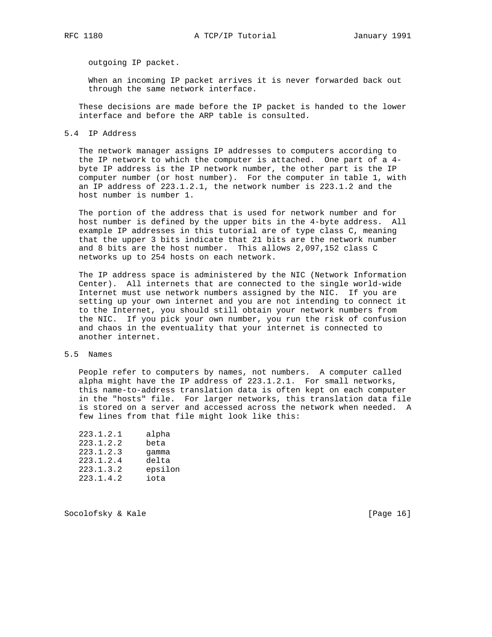outgoing IP packet.

 When an incoming IP packet arrives it is never forwarded back out through the same network interface.

 These decisions are made before the IP packet is handed to the lower interface and before the ARP table is consulted.

#### 5.4 IP Address

 The network manager assigns IP addresses to computers according to the IP network to which the computer is attached. One part of a 4 byte IP address is the IP network number, the other part is the IP computer number (or host number). For the computer in table 1, with an IP address of 223.1.2.1, the network number is 223.1.2 and the host number is number 1.

 The portion of the address that is used for network number and for host number is defined by the upper bits in the 4-byte address. All example IP addresses in this tutorial are of type class C, meaning that the upper 3 bits indicate that 21 bits are the network number and 8 bits are the host number. This allows 2,097,152 class C networks up to 254 hosts on each network.

 The IP address space is administered by the NIC (Network Information Center). All internets that are connected to the single world-wide Internet must use network numbers assigned by the NIC. If you are setting up your own internet and you are not intending to connect it to the Internet, you should still obtain your network numbers from the NIC. If you pick your own number, you run the risk of confusion and chaos in the eventuality that your internet is connected to another internet.

#### 5.5 Names

 People refer to computers by names, not numbers. A computer called alpha might have the IP address of 223.1.2.1. For small networks, this name-to-address translation data is often kept on each computer in the "hosts" file. For larger networks, this translation data file is stored on a server and accessed across the network when needed. A few lines from that file might look like this:

| 223.1.2.1 | alpha   |
|-----------|---------|
| 223.1.2.2 | beta    |
| 223.1.2.3 | qamma   |
| 223.1.2.4 | delta   |
| 223.1.3.2 | epsilon |
| 223.1.4.2 | iota    |

Socolofsky & Kale [Page 16]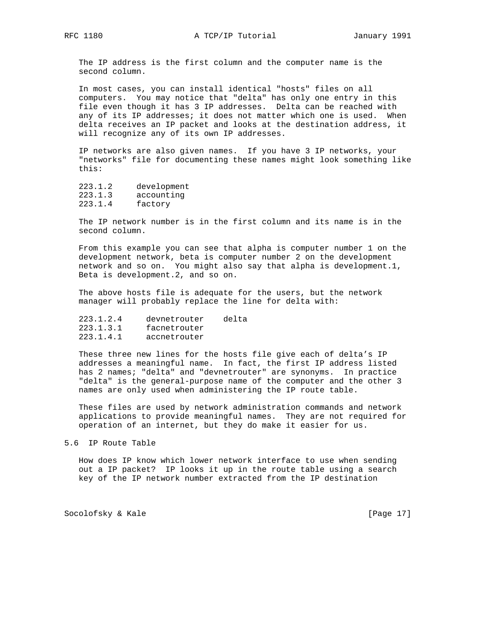The IP address is the first column and the computer name is the second column.

 In most cases, you can install identical "hosts" files on all computers. You may notice that "delta" has only one entry in this file even though it has 3 IP addresses. Delta can be reached with any of its IP addresses; it does not matter which one is used. When delta receives an IP packet and looks at the destination address, it will recognize any of its own IP addresses.

 IP networks are also given names. If you have 3 IP networks, your "networks" file for documenting these names might look something like this:

 223.1.2 development 223.1.3 accounting 223.1.4 factory

> The IP network number is in the first column and its name is in the second column.

 From this example you can see that alpha is computer number 1 on the development network, beta is computer number 2 on the development network and so on. You might also say that alpha is development.1, Beta is development.2, and so on.

 The above hosts file is adequate for the users, but the network manager will probably replace the line for delta with:

| 223.1.2.4 | devnetrouter | delta |
|-----------|--------------|-------|
| 223.1.3.1 | facnetrouter |       |
| 223.1.4.1 | accnetrouter |       |

 These three new lines for the hosts file give each of delta's IP addresses a meaningful name. In fact, the first IP address listed has 2 names; "delta" and "devnetrouter" are synonyms. In practice "delta" is the general-purpose name of the computer and the other 3 names are only used when administering the IP route table.

 These files are used by network administration commands and network applications to provide meaningful names. They are not required for operation of an internet, but they do make it easier for us.

5.6 IP Route Table

 How does IP know which lower network interface to use when sending out a IP packet? IP looks it up in the route table using a search key of the IP network number extracted from the IP destination

Socolofsky & Kale [Page 17]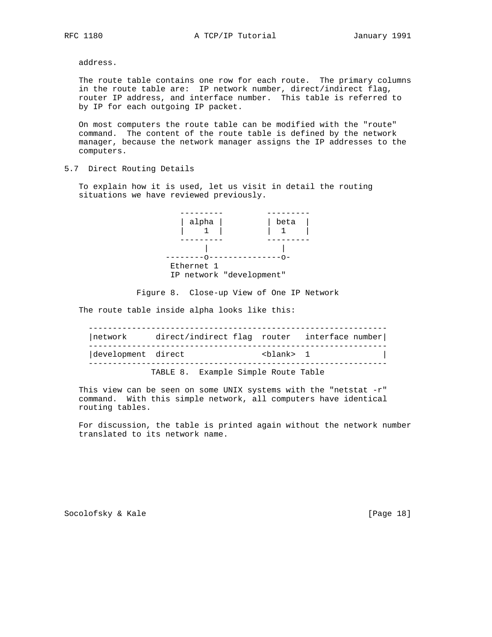address.

 The route table contains one row for each route. The primary columns in the route table are: IP network number, direct/indirect flag, router IP address, and interface number. This table is referred to by IP for each outgoing IP packet.

 On most computers the route table can be modified with the "route" command. The content of the route table is defined by the network manager, because the network manager assigns the IP addresses to the computers.

5.7 Direct Routing Details

 To explain how it is used, let us visit in detail the routing situations we have reviewed previously.



Figure 8. Close-up View of One IP Network

The route table inside alpha looks like this:

| network            |                                     | direct/indirect flag router interface number |                   |  |
|--------------------|-------------------------------------|----------------------------------------------|-------------------|--|
| development direct |                                     |                                              | <blank> 1</blank> |  |
|                    | TABLE 8. Example Simple Route Table |                                              |                   |  |

This view can be seen on some UNIX systems with the "netstat  $-r$ " command. With this simple network, all computers have identical routing tables.

 For discussion, the table is printed again without the network number translated to its network name.

Socolofsky & Kale [Page 18]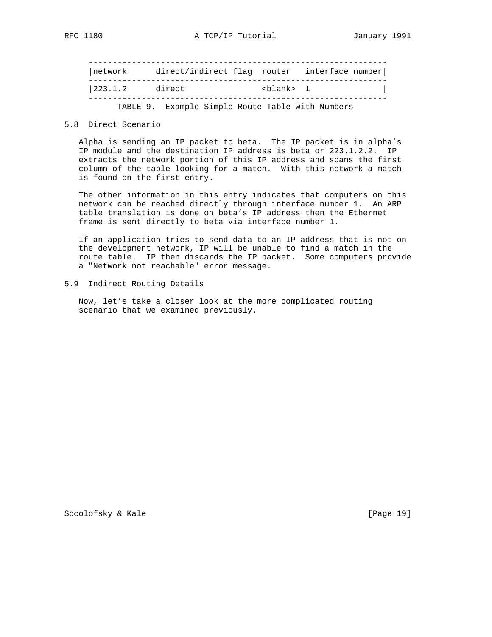| Inetwork          | direct/indirect flag router interface number     |                   |  |
|-------------------|--------------------------------------------------|-------------------|--|
| $ 223.1.2$ direct |                                                  | <blank> 1</blank> |  |
|                   | TABLE 9. Example Simple Route Table with Numbers |                   |  |

### 5.8 Direct Scenario

 Alpha is sending an IP packet to beta. The IP packet is in alpha's IP module and the destination IP address is beta or 223.1.2.2. IP extracts the network portion of this IP address and scans the first column of the table looking for a match. With this network a match is found on the first entry.

 The other information in this entry indicates that computers on this network can be reached directly through interface number 1. An ARP table translation is done on beta's IP address then the Ethernet frame is sent directly to beta via interface number 1.

 If an application tries to send data to an IP address that is not on the development network, IP will be unable to find a match in the route table. IP then discards the IP packet. Some computers provide a "Network not reachable" error message.

#### 5.9 Indirect Routing Details

 Now, let's take a closer look at the more complicated routing scenario that we examined previously.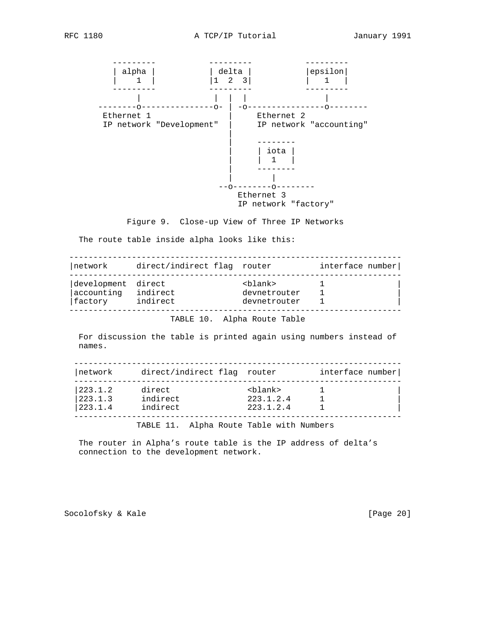



The route table inside alpha looks like this:

| network                                      | direct/indirect flag router |                                                   | interface number |
|----------------------------------------------|-----------------------------|---------------------------------------------------|------------------|
| development direct<br>accounting<br>'factory | indirect<br>indirect        | <blank><br/>devnetrouter<br/>devnetrouter</blank> |                  |
|                                              |                             | TABLE 10. Alpha Route Table                       |                  |

For discussion the table is printed again using numbers instead of

names.

| network                       | direct/indirect flag router              |                                             | interface number |
|-------------------------------|------------------------------------------|---------------------------------------------|------------------|
| 223.1.2<br>223.1.3<br>223.1.4 | direct<br>indirect<br>indirect           | <blank><br/>223.1.2.4<br/>223.1.2.4</blank> |                  |
|                               | TABLE 11. Alpha Route Table with Numbers |                                             |                  |

 The router in Alpha's route table is the IP address of delta's connection to the development network.

Socolofsky & Kale [Page 20]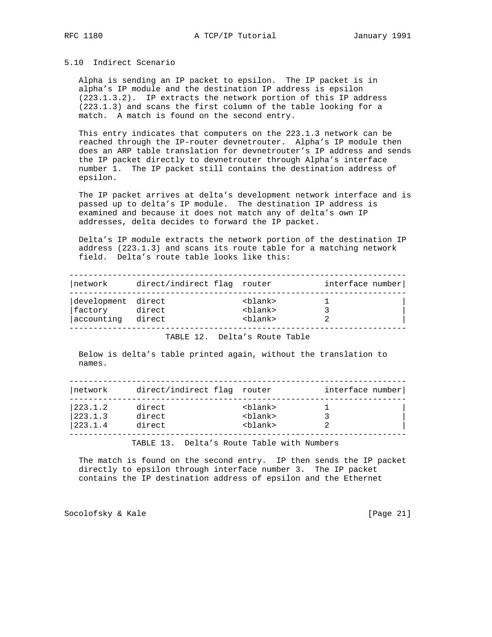### 5.10 Indirect Scenario

 Alpha is sending an IP packet to epsilon. The IP packet is in alpha's IP module and the destination IP address is epsilon (223.1.3.2). IP extracts the network portion of this IP address (223.1.3) and scans the first column of the table looking for a match. A match is found on the second entry.

 This entry indicates that computers on the 223.1.3 network can be reached through the IP-router devnetrouter. Alpha's IP module then does an ARP table translation for devnetrouter's IP address and sends the IP packet directly to devnetrouter through Alpha's interface number 1. The IP packet still contains the destination address of epsilon.

 The IP packet arrives at delta's development network interface and is passed up to delta's IP module. The destination IP address is examined and because it does not match any of delta's own IP addresses, delta decides to forward the IP packet.

 Delta's IP module extracts the network portion of the destination IP address (223.1.3) and scans its route table for a matching network field. Delta's route table looks like this:

| network                                            | direct/indirect flag router |                                                         | interface number |
|----------------------------------------------------|-----------------------------|---------------------------------------------------------|------------------|
| development direct<br>factory direct<br>accounting | direct                      | <blank><br/><blank><br/><blank></blank></blank></blank> |                  |

TABLE 12. Delta's Route Table

 Below is delta's table printed again, without the translation to names.

| network | direct/indirect flag router |                 | interval |
|---------|-----------------------------|-----------------|----------|
| 223.1.2 | direct                      | <blank></blank> |          |
| 223.1.3 | direct                      | <blank></blank> |          |
| 223.1.4 | direct                      | <blank></blank> |          |

TABLE 13. Delta's Route Table with Numbers

 The match is found on the second entry. IP then sends the IP packet directly to epsilon through interface number 3. The IP packet contains the IP destination address of epsilon and the Ethernet

Socolofsky & Kale [Page 21]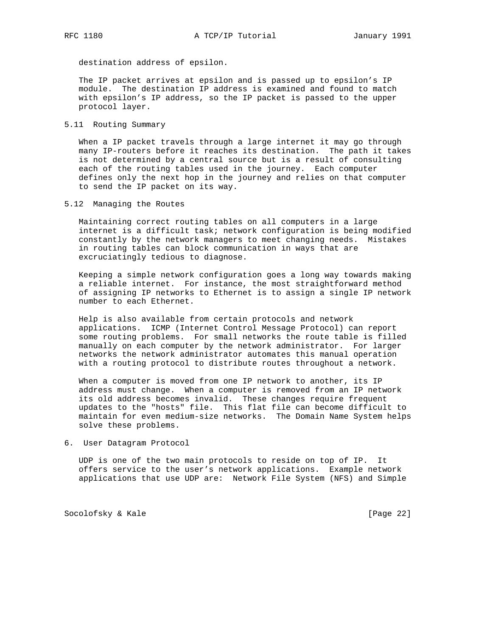destination address of epsilon.

 The IP packet arrives at epsilon and is passed up to epsilon's IP module. The destination IP address is examined and found to match with epsilon's IP address, so the IP packet is passed to the upper protocol layer.

5.11 Routing Summary

 When a IP packet travels through a large internet it may go through many IP-routers before it reaches its destination. The path it takes is not determined by a central source but is a result of consulting each of the routing tables used in the journey. Each computer defines only the next hop in the journey and relies on that computer to send the IP packet on its way.

5.12 Managing the Routes

 Maintaining correct routing tables on all computers in a large internet is a difficult task; network configuration is being modified constantly by the network managers to meet changing needs. Mistakes in routing tables can block communication in ways that are excruciatingly tedious to diagnose.

 Keeping a simple network configuration goes a long way towards making a reliable internet. For instance, the most straightforward method of assigning IP networks to Ethernet is to assign a single IP network number to each Ethernet.

 Help is also available from certain protocols and network applications. ICMP (Internet Control Message Protocol) can report some routing problems. For small networks the route table is filled manually on each computer by the network administrator. For larger networks the network administrator automates this manual operation with a routing protocol to distribute routes throughout a network.

 When a computer is moved from one IP network to another, its IP address must change. When a computer is removed from an IP network its old address becomes invalid. These changes require frequent updates to the "hosts" file. This flat file can become difficult to maintain for even medium-size networks. The Domain Name System helps solve these problems.

6. User Datagram Protocol

 UDP is one of the two main protocols to reside on top of IP. It offers service to the user's network applications. Example network applications that use UDP are: Network File System (NFS) and Simple

Socolofsky & Kale [Page 22]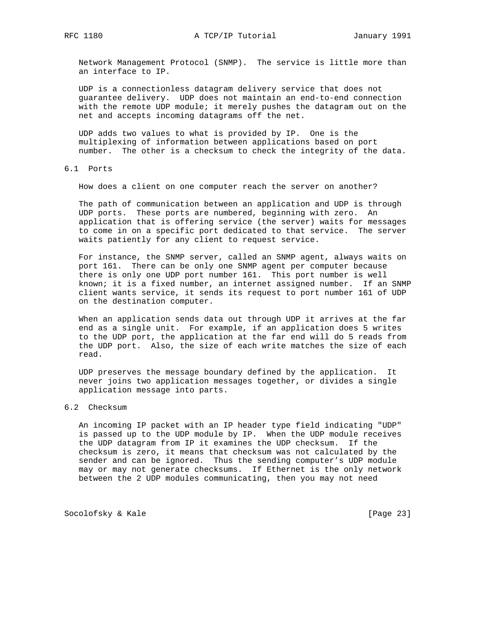Network Management Protocol (SNMP). The service is little more than an interface to IP.

 UDP is a connectionless datagram delivery service that does not guarantee delivery. UDP does not maintain an end-to-end connection with the remote UDP module; it merely pushes the datagram out on the net and accepts incoming datagrams off the net.

 UDP adds two values to what is provided by IP. One is the multiplexing of information between applications based on port number. The other is a checksum to check the integrity of the data.

6.1 Ports

How does a client on one computer reach the server on another?

 The path of communication between an application and UDP is through UDP ports. These ports are numbered, beginning with zero. An application that is offering service (the server) waits for messages to come in on a specific port dedicated to that service. The server waits patiently for any client to request service.

 For instance, the SNMP server, called an SNMP agent, always waits on port 161. There can be only one SNMP agent per computer because there is only one UDP port number 161. This port number is well known; it is a fixed number, an internet assigned number. If an SNMP client wants service, it sends its request to port number 161 of UDP on the destination computer.

 When an application sends data out through UDP it arrives at the far end as a single unit. For example, if an application does 5 writes to the UDP port, the application at the far end will do 5 reads from the UDP port. Also, the size of each write matches the size of each read.

 UDP preserves the message boundary defined by the application. It never joins two application messages together, or divides a single application message into parts.

### 6.2 Checksum

 An incoming IP packet with an IP header type field indicating "UDP" is passed up to the UDP module by IP. When the UDP module receives the UDP datagram from IP it examines the UDP checksum. If the checksum is zero, it means that checksum was not calculated by the sender and can be ignored. Thus the sending computer's UDP module may or may not generate checksums. If Ethernet is the only network between the 2 UDP modules communicating, then you may not need

Socolofsky & Kale [Page 23]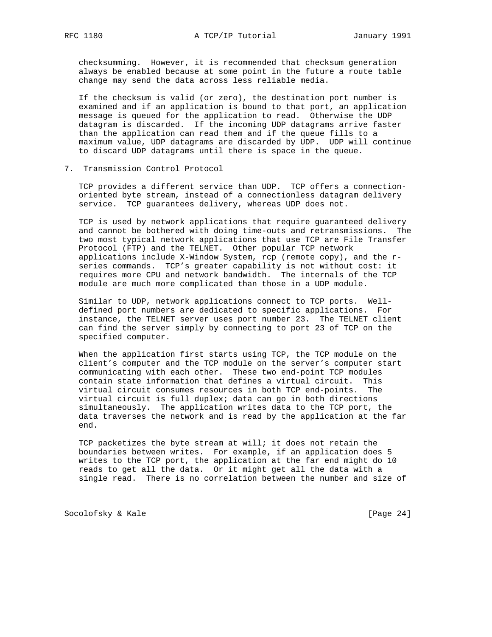checksumming. However, it is recommended that checksum generation always be enabled because at some point in the future a route table change may send the data across less reliable media.

 If the checksum is valid (or zero), the destination port number is examined and if an application is bound to that port, an application message is queued for the application to read. Otherwise the UDP datagram is discarded. If the incoming UDP datagrams arrive faster than the application can read them and if the queue fills to a maximum value, UDP datagrams are discarded by UDP. UDP will continue to discard UDP datagrams until there is space in the queue.

## 7. Transmission Control Protocol

 TCP provides a different service than UDP. TCP offers a connection oriented byte stream, instead of a connectionless datagram delivery service. TCP guarantees delivery, whereas UDP does not.

 TCP is used by network applications that require guaranteed delivery and cannot be bothered with doing time-outs and retransmissions. The two most typical network applications that use TCP are File Transfer Protocol (FTP) and the TELNET. Other popular TCP network applications include X-Window System, rcp (remote copy), and the r series commands. TCP's greater capability is not without cost: it requires more CPU and network bandwidth. The internals of the TCP module are much more complicated than those in a UDP module.

 Similar to UDP, network applications connect to TCP ports. Well defined port numbers are dedicated to specific applications. For instance, the TELNET server uses port number 23. The TELNET client can find the server simply by connecting to port 23 of TCP on the specified computer.

 When the application first starts using TCP, the TCP module on the client's computer and the TCP module on the server's computer start communicating with each other. These two end-point TCP modules contain state information that defines a virtual circuit. This virtual circuit consumes resources in both TCP end-points. The virtual circuit is full duplex; data can go in both directions simultaneously. The application writes data to the TCP port, the data traverses the network and is read by the application at the far end.

 TCP packetizes the byte stream at will; it does not retain the boundaries between writes. For example, if an application does 5 writes to the TCP port, the application at the far end might do 10 reads to get all the data. Or it might get all the data with a single read. There is no correlation between the number and size of

Socolofsky & Kale [Page 24]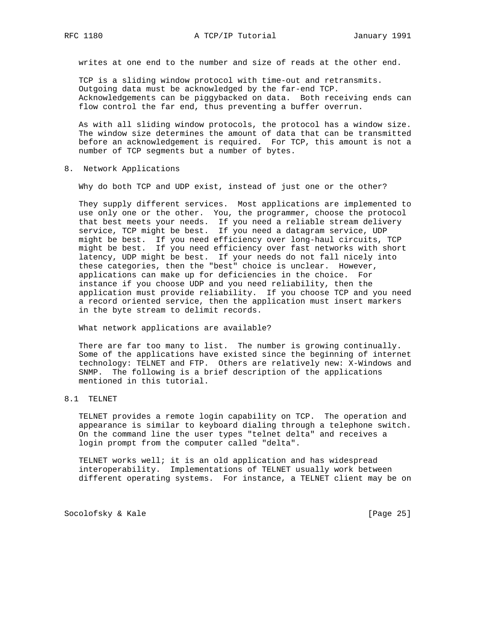writes at one end to the number and size of reads at the other end.

 TCP is a sliding window protocol with time-out and retransmits. Outgoing data must be acknowledged by the far-end TCP. Acknowledgements can be piggybacked on data. Both receiving ends can flow control the far end, thus preventing a buffer overrun.

 As with all sliding window protocols, the protocol has a window size. The window size determines the amount of data that can be transmitted before an acknowledgement is required. For TCP, this amount is not a number of TCP segments but a number of bytes.

8. Network Applications

Why do both TCP and UDP exist, instead of just one or the other?

 They supply different services. Most applications are implemented to use only one or the other. You, the programmer, choose the protocol that best meets your needs. If you need a reliable stream delivery service, TCP might be best. If you need a datagram service, UDP might be best. If you need efficiency over long-haul circuits, TCP might be best. If you need efficiency over fast networks with short latency, UDP might be best. If your needs do not fall nicely into these categories, then the "best" choice is unclear. However, applications can make up for deficiencies in the choice. For instance if you choose UDP and you need reliability, then the application must provide reliability. If you choose TCP and you need a record oriented service, then the application must insert markers in the byte stream to delimit records.

What network applications are available?

 There are far too many to list. The number is growing continually. Some of the applications have existed since the beginning of internet technology: TELNET and FTP. Others are relatively new: X-Windows and SNMP. The following is a brief description of the applications mentioned in this tutorial.

# 8.1 TELNET

 TELNET provides a remote login capability on TCP. The operation and appearance is similar to keyboard dialing through a telephone switch. On the command line the user types "telnet delta" and receives a login prompt from the computer called "delta".

 TELNET works well; it is an old application and has widespread interoperability. Implementations of TELNET usually work between different operating systems. For instance, a TELNET client may be on

Socolofsky & Kale [Page 25]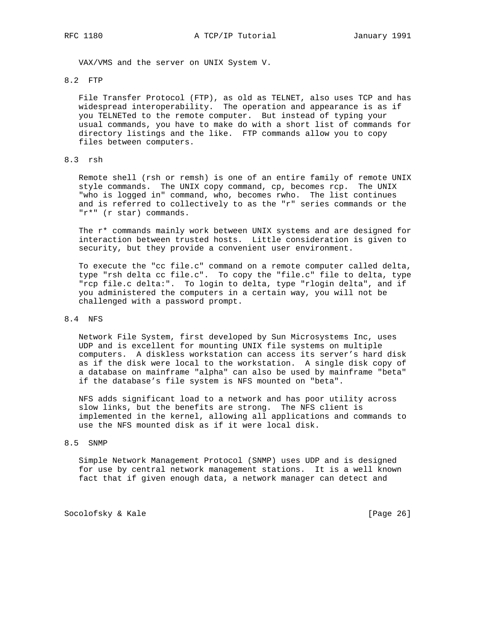VAX/VMS and the server on UNIX System V.

## 8.2 FTP

 File Transfer Protocol (FTP), as old as TELNET, also uses TCP and has widespread interoperability. The operation and appearance is as if you TELNETed to the remote computer. But instead of typing your usual commands, you have to make do with a short list of commands for directory listings and the like. FTP commands allow you to copy files between computers.

# 8.3 rsh

 Remote shell (rsh or remsh) is one of an entire family of remote UNIX style commands. The UNIX copy command, cp, becomes rcp. The UNIX "who is logged in" command, who, becomes rwho. The list continues and is referred to collectively to as the "r" series commands or the "r\*" (r star) commands.

 The r\* commands mainly work between UNIX systems and are designed for interaction between trusted hosts. Little consideration is given to security, but they provide a convenient user environment.

 To execute the "cc file.c" command on a remote computer called delta, type "rsh delta cc file.c". To copy the "file.c" file to delta, type "rcp file.c delta:". To login to delta, type "rlogin delta", and if you administered the computers in a certain way, you will not be challenged with a password prompt.

# 8.4 NFS

 Network File System, first developed by Sun Microsystems Inc, uses UDP and is excellent for mounting UNIX file systems on multiple computers. A diskless workstation can access its server's hard disk as if the disk were local to the workstation. A single disk copy of a database on mainframe "alpha" can also be used by mainframe "beta" if the database's file system is NFS mounted on "beta".

 NFS adds significant load to a network and has poor utility across slow links, but the benefits are strong. The NFS client is implemented in the kernel, allowing all applications and commands to use the NFS mounted disk as if it were local disk.

#### 8.5 SNMP

 Simple Network Management Protocol (SNMP) uses UDP and is designed for use by central network management stations. It is a well known fact that if given enough data, a network manager can detect and

Socolofsky & Kale [Page 26]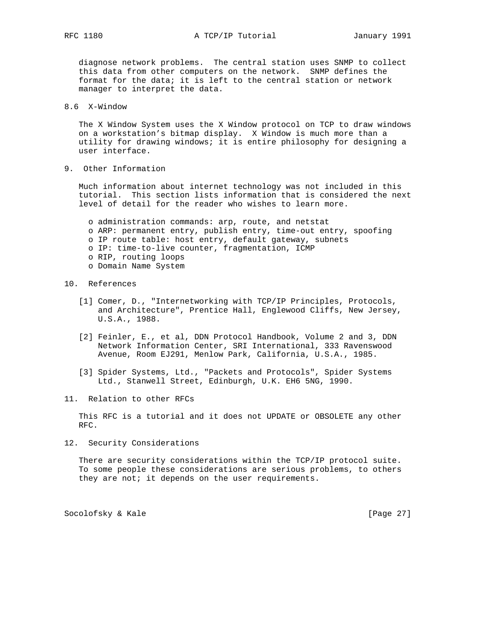diagnose network problems. The central station uses SNMP to collect this data from other computers on the network. SNMP defines the format for the data; it is left to the central station or network manager to interpret the data.

8.6 X-Window

 The X Window System uses the X Window protocol on TCP to draw windows on a workstation's bitmap display. X Window is much more than a utility for drawing windows; it is entire philosophy for designing a user interface.

9. Other Information

 Much information about internet technology was not included in this tutorial. This section lists information that is considered the next level of detail for the reader who wishes to learn more.

 o administration commands: arp, route, and netstat o ARP: permanent entry, publish entry, time-out entry, spoofing o IP route table: host entry, default gateway, subnets o IP: time-to-live counter, fragmentation, ICMP o RIP, routing loops o Domain Name System

# 10. References

- [1] Comer, D., "Internetworking with TCP/IP Principles, Protocols, and Architecture", Prentice Hall, Englewood Cliffs, New Jersey, U.S.A., 1988.
- [2] Feinler, E., et al, DDN Protocol Handbook, Volume 2 and 3, DDN Network Information Center, SRI International, 333 Ravenswood Avenue, Room EJ291, Menlow Park, California, U.S.A., 1985.
- [3] Spider Systems, Ltd., "Packets and Protocols", Spider Systems Ltd., Stanwell Street, Edinburgh, U.K. EH6 5NG, 1990.
- 11. Relation to other RFCs

 This RFC is a tutorial and it does not UPDATE or OBSOLETE any other RFC.

12. Security Considerations

 There are security considerations within the TCP/IP protocol suite. To some people these considerations are serious problems, to others they are not; it depends on the user requirements.

Socolofsky & Kale [Page 27]